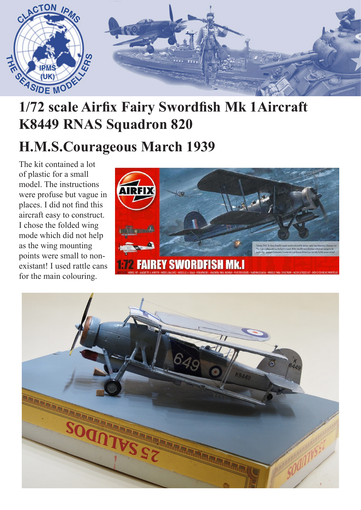

## **1/72 scale Airfix Fairy Swordfish Mk 1Aircraft K8449 RNAS Squadron 820**

## **H.M.S.Courageous March 1939**

The kit contained a lot of plastic for a small model. The instructions were profuse but vague in places. I did not find this aircraft easy to construct. I chose the folded wing mode which did not help as the wing mounting points were small to nonexistant! I used rattle cans for the main colouring.